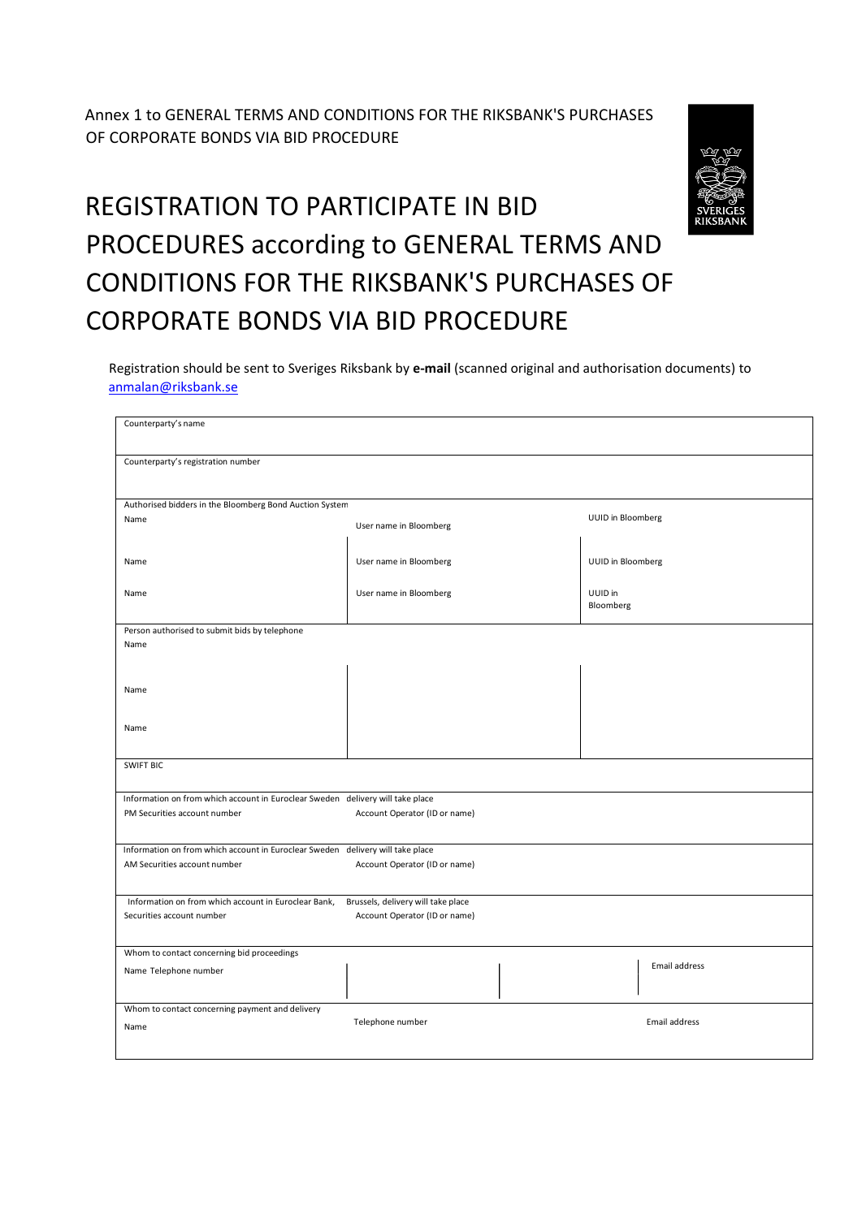Annex 1 to GENERAL TERMS AND CONDITIONS FOR THE RIKSBANK'S PURCHASES OF CORPORATE BONDS VIA BID PROCEDURE

## REGISTRATION TO PARTICIPATE IN BID PROCEDURES according to GENERAL TERMS AND CONDITIONS FOR THE RIKSBANK'S PURCHASES OF CORPORATE BONDS VIA BID PROCEDURE

 Registration should be sent to Sveriges Riksbank by **e-mail** (scanned original and authorisation documents) to anmalan@riksbank.se

| Counterparty's name                                                                                            |                                    |                      |  |
|----------------------------------------------------------------------------------------------------------------|------------------------------------|----------------------|--|
| Counterparty's registration number                                                                             |                                    |                      |  |
| Authorised bidders in the Bloomberg Bond Auction System                                                        |                                    |                      |  |
| Name                                                                                                           | User name in Bloomberg             | UUID in Bloomberg    |  |
| Name                                                                                                           | User name in Bloomberg             | UUID in Bloomberg    |  |
| Name                                                                                                           | User name in Bloomberg             | UUID in<br>Bloomberg |  |
| Person authorised to submit bids by telephone                                                                  |                                    |                      |  |
| Name                                                                                                           |                                    |                      |  |
|                                                                                                                |                                    |                      |  |
|                                                                                                                |                                    |                      |  |
| Name                                                                                                           |                                    |                      |  |
|                                                                                                                |                                    |                      |  |
|                                                                                                                |                                    |                      |  |
| Name                                                                                                           |                                    |                      |  |
|                                                                                                                |                                    |                      |  |
| <b>SWIFT BIC</b>                                                                                               |                                    |                      |  |
|                                                                                                                |                                    |                      |  |
| Information on from which account in Euroclear Sweden delivery will take place                                 |                                    |                      |  |
| PM Securities account number                                                                                   | Account Operator (ID or name)      |                      |  |
|                                                                                                                |                                    |                      |  |
|                                                                                                                |                                    |                      |  |
| Information on from which account in Euroclear Sweden delivery will take place<br>AM Securities account number | Account Operator (ID or name)      |                      |  |
|                                                                                                                |                                    |                      |  |
|                                                                                                                |                                    |                      |  |
| Information on from which account in Euroclear Bank,                                                           | Brussels, delivery will take place |                      |  |
| Securities account number                                                                                      | Account Operator (ID or name)      |                      |  |
|                                                                                                                |                                    |                      |  |
| Whom to contact concerning bid proceedings                                                                     |                                    |                      |  |
| Name Telephone number                                                                                          |                                    | Email address        |  |
|                                                                                                                |                                    |                      |  |
|                                                                                                                |                                    |                      |  |
| Whom to contact concerning payment and delivery                                                                | Telephone number                   | Email address        |  |
| Name                                                                                                           |                                    |                      |  |
|                                                                                                                |                                    |                      |  |
|                                                                                                                |                                    |                      |  |